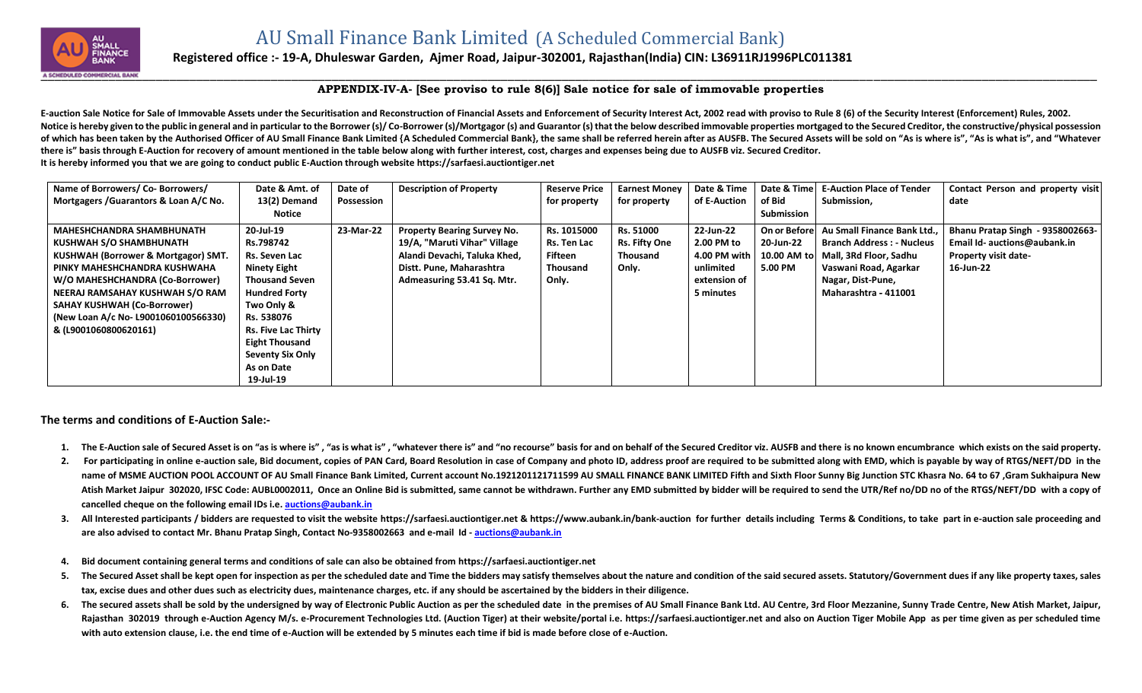

## **Registered office :- 19-A, Dhuleswar Garden, Ajmer Road, Jaipur-302001, Rajasthan(India) CIN: L36911RJ1996PLC011381**

## **APPENDIX-IV-A- [See proviso to rule 8(6)] Sale notice for sale of immovable properties**

E-auction Sale Notice for Sale of Immovable Assets under the Securitisation and Reconstruction of Financial Assets and Enforcement of Security Interest Act, 2002 read with proviso to Rule 8 (6) of the Security Interest (En Notice is hereby given to the public in general and in particular to the Borrower (s)/Co-Borrower (s)/Mortgagor (s) and Guarantor (s) that the below described immovable properties mortgaged to the Secured Creditor, the con of which has been taken by the Authorised Officer of AU Small Finance Bank Limited {A Scheduled Commercial Bank}, the same shall be referred herein after as AUSFB. The Secured Assets will be sold on "As is where is", "As i **there is" basis through E-Auction for recovery of amount mentioned in the table below along with further interest, cost, charges and expenses being due to AUSFB viz. Secured Creditor. It is hereby informed you that we are going to conduct public E-Auction through website [https://sarfaesi.auctiontiger.net](https://sarfaesi.auctiontiger.net/)** 

| Name of Borrowers/ Co- Borrowers/      | Date & Amt. of             | Date of    | <b>Description of Property</b>     | <b>Reserve Price</b> | <b>Earnest Money</b> | Date & Time  | Date & Time       | <b>E-Auction Place of Tender</b> | Contact Person and property visit |
|----------------------------------------|----------------------------|------------|------------------------------------|----------------------|----------------------|--------------|-------------------|----------------------------------|-----------------------------------|
| Mortgagers / Guarantors & Loan A/C No. | 13(2) Demand               | Possession |                                    | for property         | for property         | of E-Auction | of Bid            | Submission,                      | date                              |
|                                        | Notice                     |            |                                    |                      |                      |              | <b>Submission</b> |                                  |                                   |
| <b>MAHESHCHANDRA SHAMBHUNATH</b>       | 20-Jul-19                  | 23-Mar-22  | <b>Property Bearing Survey No.</b> | Rs. 1015000          | Rs. 51000            | 22-Jun-22    | On or Before      | Au Small Finance Bank Ltd        | Bhanu Pratap Singh - 9358002663-  |
| KUSHWAH S/O SHAMBHUNATH                | Rs.798742                  |            | 19/A, "Maruti Vihar" Village       | Rs. Ten Lac          | <b>Rs. Fifty One</b> | 2.00 PM to   | 20-Jun-22         | <b>Branch Address: - Nucleus</b> | Email Id- auctions@aubank.in      |
| KUSHWAH (Borrower & Mortgagor) SMT.    | Rs. Seven Lac              |            | Alandi Devachi, Taluka Khed,       | Fifteen              | Thousand             | 4.00 PM with | 10.00 AM to       | Mall, 3Rd Floor, Sadhu           | <b>Property visit date-</b>       |
| PINKY MAHESHCHANDRA KUSHWAHA           | Ninety Eight               |            | Distt. Pune, Maharashtra           | Thousand             | Only.                | unlimited    | 5.00 PM           | Vaswani Road, Agarkar            | 16-Jun-22                         |
| W/O MAHESHCHANDRA (Co-Borrower)        | <b>Thousand Seven</b>      |            | Admeasuring 53.41 Sq. Mtr.         | Only.                |                      | extension of |                   | Nagar, Dist-Pune,                |                                   |
| NEERAJ RAMSAHAY KUSHWAH S/O RAM        | <b>Hundred Forty</b>       |            |                                    |                      |                      | 5 minutes    |                   | Maharashtra - 411001             |                                   |
| <b>SAHAY KUSHWAH (Co-Borrower)</b>     | Two Only &                 |            |                                    |                      |                      |              |                   |                                  |                                   |
| (New Loan A/c No- L9001060100566330)   | Rs. 538076                 |            |                                    |                      |                      |              |                   |                                  |                                   |
| & (L9001060800620161)                  | <b>Rs. Five Lac Thirty</b> |            |                                    |                      |                      |              |                   |                                  |                                   |
|                                        | <b>Eight Thousand</b>      |            |                                    |                      |                      |              |                   |                                  |                                   |
|                                        | <b>Seventy Six Only</b>    |            |                                    |                      |                      |              |                   |                                  |                                   |
|                                        | As on Date                 |            |                                    |                      |                      |              |                   |                                  |                                   |
|                                        | 19-Jul-19                  |            |                                    |                      |                      |              |                   |                                  |                                   |

**The terms and conditions of E-Auction Sale:-**

- 1. The E-Auction sale of Secured Asset is on "as is where is", "as is what is", "whatever there is" amd "no recourse" basis for and on behalf of the Secured Creditor viz. AUSFB and there is no known encumbrance which exist
- 2. For participating in online e-auction sale, Bid document, copies of PAN Card, Board Resolution in case of Company and photo ID, address proof are required to be submitted along with EMD, which is payable by way of RTGS/ name of MSME AUCTION POOL ACCOUNT OF AU Small Finance Bank Limited, Current account No.1921201121711599 AU SMALL FINANCE BANK LIMITED Fifth and Sixth Floor Sunny Big Junction STC Khasra No. 64 to 67, Gram Sukhaipura New Atish Market Jaipur 302020, IFSC Code: AUBL0002011, Once an Online Bid is submitted, same cannot be withdrawn. Further any EMD submitted by bidder will be required to send the UTR/Ref no/DD no of the RTGS/NEFT/DD with a co **cancelled cheque on the following email IDs i.e. [auctions@aubank.in](mailto:auctions@aubank.in)**
- 3. All Interested participants / bidders are requested to visit the website [https://sarfaesi.auctiontiger.net](https://sarfaesi.auctiontiger.net/) & https://www.aubank.in/bank-auction for further details including Terms & Conditions, to take part in e-auction **are also advised to contact Mr. Bhanu Pratap Singh, Contact No-9358002663 and e-mail Id - [auctions@aubank.in](mailto:auctions@aubank.in)**
- **4. Bid document containing general terms and conditions of sale can also be obtained fro[m https://sarfaesi.auctiontiger.net](https://edelweissarc.auctiontiger.net/)**
- 5. The Secured Asset shall be kept open for inspection as per the scheduled date and Time the bidders may satisfy themselves about the nature and condition of the said secured assets. Statutory/Government dues if any like **tax, excise dues and other dues such as electricity dues, maintenance charges, etc. if any should be ascertained by the bidders in their diligence.**
- 6. The secured assets shall be sold by the undersigned by way of Electronic Public Auction as per the scheduled date in the premises of AU Small Finance Bank Ltd. AU Centre, 3rd Floor Mezzanine, Sunny Trade Centre, New Ati Rajasthan 302019 through e-Auction Agency M/s. e-Procurement Technologies Ltd. (Auction Tiger) at their website/portal i.e. [https://sarfaesi.auctiontiger.net](https://sarfaesi.auctiontiger.net/) and also on Auction Tiger Mobile App as per time given as per sc **with auto extension clause, i.e. the end time of e-Auction will be extended by 5 minutes each time if bid is made before close of e-Auction.**